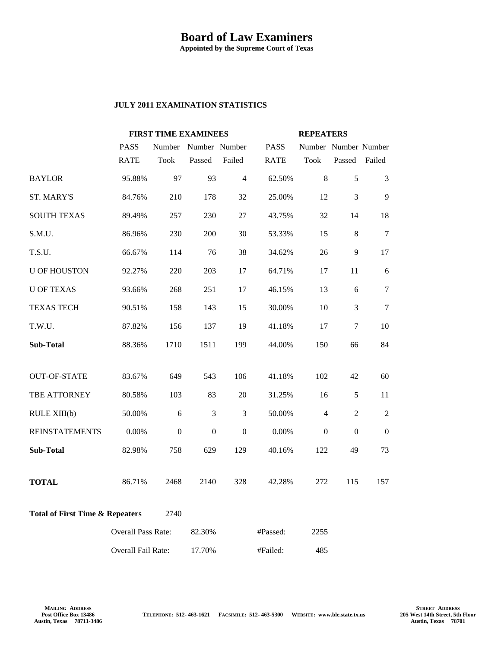## **Board of Law Examiners**

**Appointed by the Supreme Court of Texas**

## **JULY 2011 EXAMINATION STATISTICS**

|                                                    |                           | <b>FIRST TIME EXAMINEES</b> |               |                |             | <b>REPEATERS</b>     |                |                |
|----------------------------------------------------|---------------------------|-----------------------------|---------------|----------------|-------------|----------------------|----------------|----------------|
|                                                    | <b>PASS</b>               | Number                      | Number Number |                | <b>PASS</b> | Number Number Number |                |                |
|                                                    | <b>RATE</b>               | <b>Took</b>                 | Passed        | Failed         | <b>RATE</b> | <b>Took</b>          | Passed         | Failed         |
| <b>BAYLOR</b>                                      | 95.88%                    | 97                          | 93            | $\overline{4}$ | 62.50%      | $\,8\,$              | 5              | 3              |
| ST. MARY'S                                         | 84.76%                    | 210                         | 178           | 32             | 25.00%      | 12                   | $\mathfrak{Z}$ | 9              |
| <b>SOUTH TEXAS</b>                                 | 89.49%                    | 257                         | 230           | 27             | 43.75%      | 32                   | 14             | 18             |
| S.M.U.                                             | 86.96%                    | 230                         | 200           | 30             | 53.33%      | 15                   | 8              | $\tau$         |
| T.S.U.                                             | 66.67%                    | 114                         | 76            | 38             | 34.62%      | 26                   | 9              | 17             |
| <b>U OF HOUSTON</b>                                | 92.27%                    | 220                         | 203           | 17             | 64.71%      | 17                   | 11             | 6              |
| <b>U OF TEXAS</b>                                  | 93.66%                    | 268                         | 251           | 17             | 46.15%      | 13                   | 6              | $\tau$         |
| <b>TEXAS TECH</b>                                  | 90.51%                    | 158                         | 143           | 15             | 30.00%      | 10                   | 3              | 7              |
| T.W.U.                                             | 87.82%                    | 156                         | 137           | 19             | 41.18%      | 17                   | $\overline{7}$ | 10             |
| <b>Sub-Total</b>                                   | 88.36%                    | 1710                        | 1511          | 199            | 44.00%      | 150                  | 66             | 84             |
|                                                    |                           |                             |               |                |             |                      |                |                |
| <b>OUT-OF-STATE</b>                                | 83.67%                    | 649                         | 543           | 106            | 41.18%      | 102                  | 42             | 60             |
| TBE ATTORNEY                                       | 80.58%                    | 103                         | 83            | 20             | 31.25%      | 16                   | 5              | 11             |
| RULE XIII(b)                                       | 50.00%                    | 6                           | 3             | $\mathfrak{Z}$ | 50.00%      | $\overline{4}$       | $\overline{2}$ | $\overline{2}$ |
| <b>REINSTATEMENTS</b>                              | $0.00\%$                  | $\Omega$                    | $\mathbf{0}$  | $\mathbf{0}$   | $0.00\%$    | $\overline{0}$       | $\mathbf{0}$   | $\Omega$       |
| <b>Sub-Total</b>                                   | 82.98%                    | 758                         | 629           | 129            | 40.16%      | 122                  | 49             | 73             |
| <b>TOTAL</b>                                       | 86.71%                    | 2468                        | 2140          | 328            | 42.28%      | 272                  | 115            | 157            |
| <b>Total of First Time &amp; Repeaters</b><br>2740 |                           |                             |               |                |             |                      |                |                |
|                                                    | <b>Overall Pass Rate:</b> |                             | 82.30%        |                | #Passed:    | 2255                 |                |                |
|                                                    | Overall Fail Rate:        |                             | 17.70%        |                | #Failed:    | 485                  |                |                |